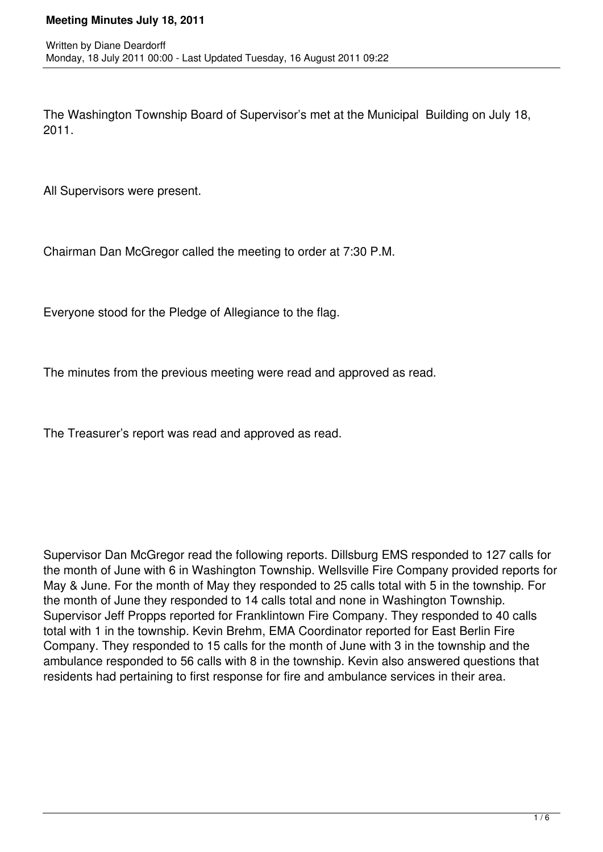The Washington Township Board of Supervisor's met at the Municipal Building on July 18, 2011.

All Supervisors were present.

Chairman Dan McGregor called the meeting to order at 7:30 P.M.

Everyone stood for the Pledge of Allegiance to the flag.

The minutes from the previous meeting were read and approved as read.

The Treasurer's report was read and approved as read.

Supervisor Dan McGregor read the following reports. Dillsburg EMS responded to 127 calls for the month of June with 6 in Washington Township. Wellsville Fire Company provided reports for May & June. For the month of May they responded to 25 calls total with 5 in the township. For the month of June they responded to 14 calls total and none in Washington Township. Supervisor Jeff Propps reported for Franklintown Fire Company. They responded to 40 calls total with 1 in the township. Kevin Brehm, EMA Coordinator reported for East Berlin Fire Company. They responded to 15 calls for the month of June with 3 in the township and the ambulance responded to 56 calls with 8 in the township. Kevin also answered questions that residents had pertaining to first response for fire and ambulance services in their area.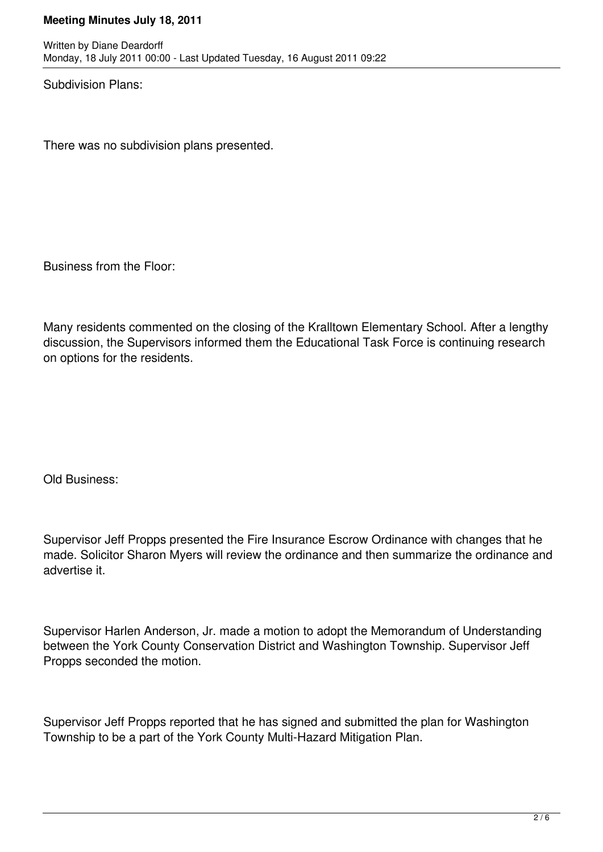Subdivision Plans:

There was no subdivision plans presented.

Business from the Floor:

Many residents commented on the closing of the Kralltown Elementary School. After a lengthy discussion, the Supervisors informed them the Educational Task Force is continuing research on options for the residents.

Old Business:

Supervisor Jeff Propps presented the Fire Insurance Escrow Ordinance with changes that he made. Solicitor Sharon Myers will review the ordinance and then summarize the ordinance and advertise it.

Supervisor Harlen Anderson, Jr. made a motion to adopt the Memorandum of Understanding between the York County Conservation District and Washington Township. Supervisor Jeff Propps seconded the motion.

Supervisor Jeff Propps reported that he has signed and submitted the plan for Washington Township to be a part of the York County Multi-Hazard Mitigation Plan.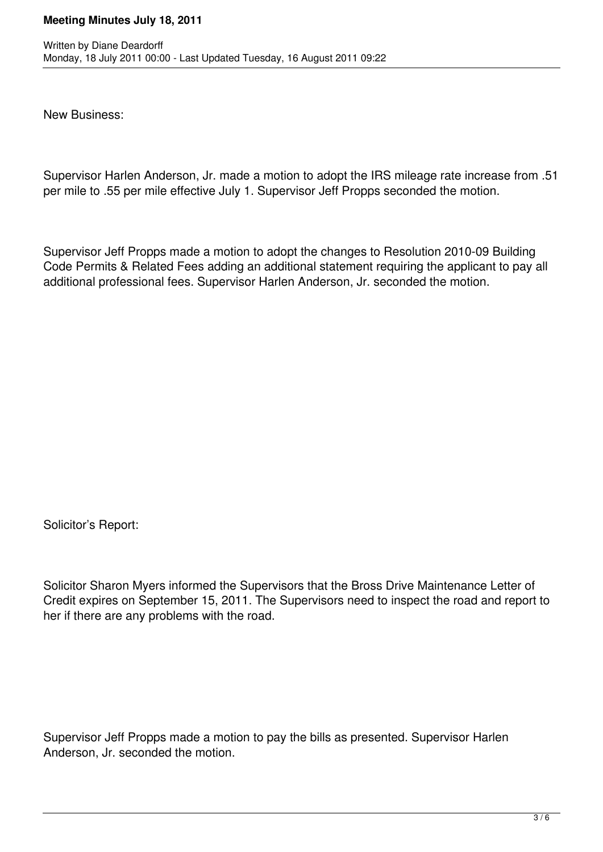New Business:

Supervisor Harlen Anderson, Jr. made a motion to adopt the IRS mileage rate increase from .51 per mile to .55 per mile effective July 1. Supervisor Jeff Propps seconded the motion.

Supervisor Jeff Propps made a motion to adopt the changes to Resolution 2010-09 Building Code Permits & Related Fees adding an additional statement requiring the applicant to pay all additional professional fees. Supervisor Harlen Anderson, Jr. seconded the motion.

Solicitor's Report:

Solicitor Sharon Myers informed the Supervisors that the Bross Drive Maintenance Letter of Credit expires on September 15, 2011. The Supervisors need to inspect the road and report to her if there are any problems with the road.

Supervisor Jeff Propps made a motion to pay the bills as presented. Supervisor Harlen Anderson, Jr. seconded the motion.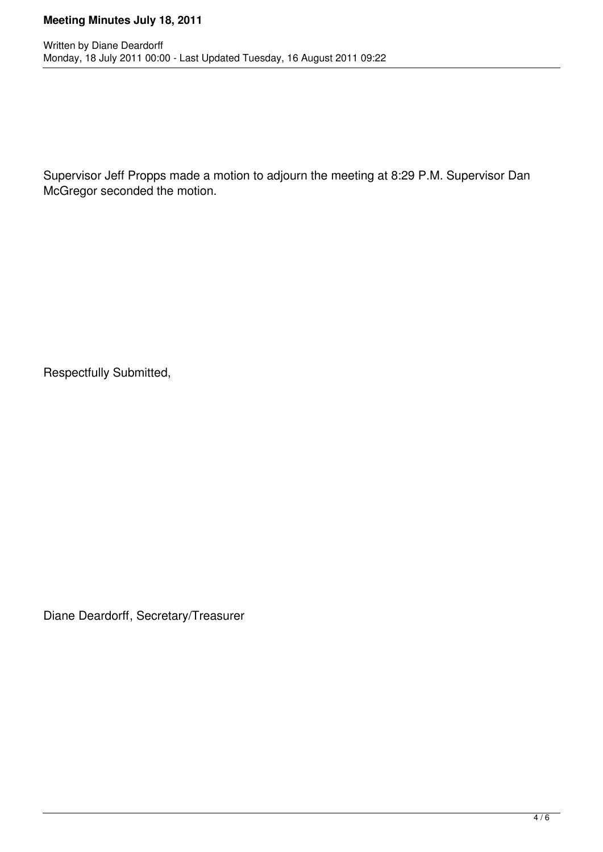Supervisor Jeff Propps made a motion to adjourn the meeting at 8:29 P.M. Supervisor Dan McGregor seconded the motion.

Respectfully Submitted,

Diane Deardorff, Secretary/Treasurer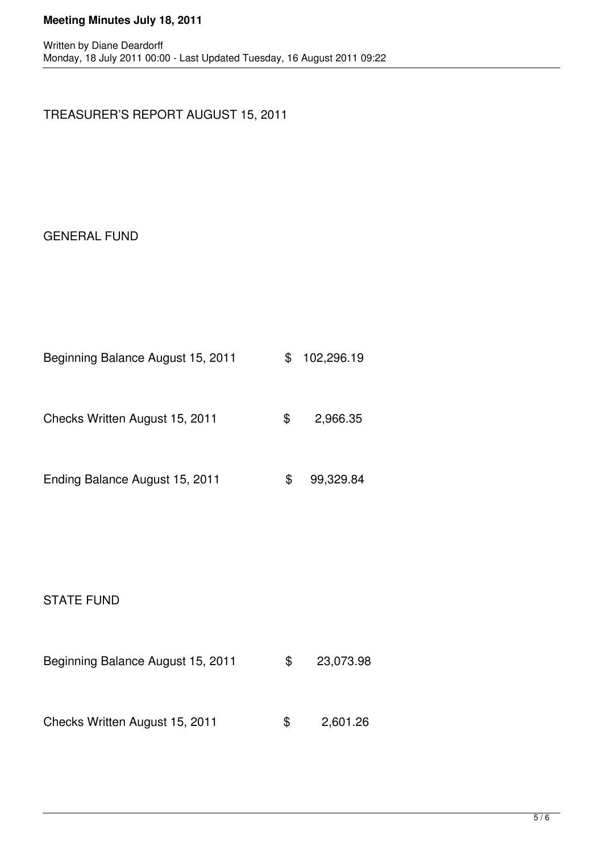# TREASURER'S REPORT AUGUST 15, 2011

# GENERAL FUND

| Beginning Balance August 15, 2011 |  | \$102,296.19 |
|-----------------------------------|--|--------------|
|-----------------------------------|--|--------------|

Checks Written August 15, 2011 \$ 2,966.35

| Ending Balance August 15, 2011 |  | 99,329.84 |  |
|--------------------------------|--|-----------|--|
|--------------------------------|--|-----------|--|

#### STATE FUND

| Beginning Balance August 15, 2011 | \$. | 23,073.98 |
|-----------------------------------|-----|-----------|
|                                   |     |           |
| Checks Written August 15, 2011    | \$. | 2,601.26  |